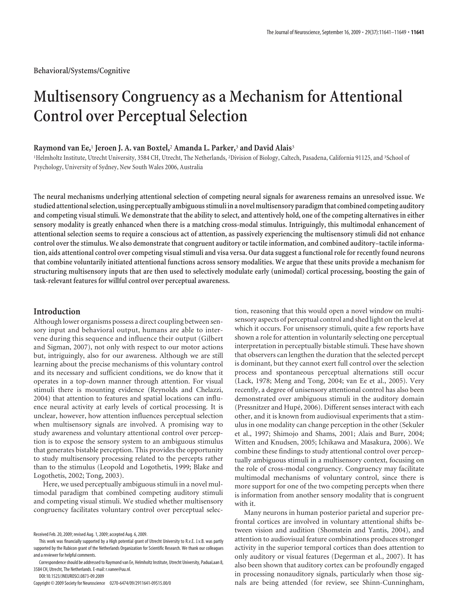# **Multisensory Congruency as a Mechanism for Attentional Control over Perceptual Selection**

# **Raymond van Ee,**<sup>1</sup> **Jeroen J. A. van Boxtel,**<sup>2</sup> **Amanda L. Parker,**<sup>3</sup> **and David Alais**<sup>3</sup>

<sup>1</sup>Helmholtz Institute, Utrecht University, 3584 CH, Utrecht, The Netherlands, <sup>2</sup>Division of Biology, Caltech, Pasadena, California 91125, and <sup>3</sup>School of Psychology, University of Sydney, New South Wales 2006, Australia

**The neural mechanisms underlying attentional selection of competing neural signals for awareness remains an unresolved issue. We studied attentional selection, using perceptually ambiguous stimuli in a novel multisensory paradigmthat combined competing auditory and competing visual stimuli. We demonstrate that the ability to select, and attentively hold, one of the competing alternatives in either sensory modality is greatly enhanced when there is a matching cross-modal stimulus. Intriguingly, this multimodal enhancement of attentional selection seems to require a conscious act of attention, as passively experiencing the multisensory stimuli did not enhance control over the stimulus. We also demonstrate that congruent auditory or tactile information, and combined auditory–tactile information, aids attentional control over competing visual stimuli and visa versa. Our data suggest a functional role for recently found neurons that combine voluntarily initiated attentional functions across sensory modalities. We argue that these units provide a mechanism for structuring multisensory inputs that are then used to selectively modulate early (unimodal) cortical processing, boosting the gain of task-relevant features for willful control over perceptual awareness.**

# **Introduction**

Although lower organisms possess a direct coupling between sensory input and behavioral output, humans are able to intervene during this sequence and influence their output (Gilbert and Sigman, 2007), not only with respect to our motor actions but, intriguingly, also for our awareness. Although we are still learning about the precise mechanisms of this voluntary control and its necessary and sufficient conditions, we do know that it operates in a top-down manner through attention. For visual stimuli there is mounting evidence (Reynolds and Chelazzi, 2004) that attention to features and spatial locations can influence neural activity at early levels of cortical processing. It is unclear, however, how attention influences perceptual selection when multisensory signals are involved. A promising way to study awareness and voluntary attentional control over perception is to expose the sensory system to an ambiguous stimulus that generates bistable perception. This provides the opportunity to study multisensory processing related to the percepts rather than to the stimulus (Leopold and Logothetis, 1999; Blake and Logothetis, 2002; Tong, 2003).

Here, we used perceptually ambiguous stimuli in a novel multimodal paradigm that combined competing auditory stimuli and competing visual stimuli. We studied whether multisensory congruency facilitates voluntary control over perceptual selec-

DOI:10.1523/JNEUROSCI.0873-09.2009

tion, reasoning that this would open a novel window on multisensory aspects of perceptual control and shed light on the level at which it occurs. For unisensory stimuli, quite a few reports have shown a role for attention in voluntarily selecting one perceptual interpretation in perceptually bistable stimuli. These have shown that observers can lengthen the duration that the selected percept is dominant, but they cannot exert full control over the selection process and spontaneous perceptual alternations still occur (Lack, 1978; Meng and Tong, 2004; van Ee et al., 2005). Very recently, a degree of unisensory attentional control has also been demonstrated over ambiguous stimuli in the auditory domain (Pressnitzer and Hupé, 2006). Different senses interact with each other, and it is known from audiovisual experiments that a stimulus in one modality can change perception in the other (Sekuler et al., 1997; Shimojo and Shams, 2001; Alais and Burr, 2004; Witten and Knudsen, 2005; Ichikawa and Masakura, 2006). We combine these findings to study attentional control over perceptually ambiguous stimuli in a multisensory context, focusing on the role of cross-modal congruency. Congruency may facilitate multimodal mechanisms of voluntary control, since there is more support for one of the two competing percepts when there is information from another sensory modality that is congruent with it.

Many neurons in human posterior parietal and superior prefrontal cortices are involved in voluntary attentional shifts between vision and audition (Shomstein and Yantis, 2004), and attention to audiovisual feature combinations produces stronger activity in the superior temporal cortices than does attention to only auditory or visual features (Degerman et al., 2007). It has also been shown that auditory cortex can be profoundly engaged in processing nonauditory signals, particularly when those signals are being attended (for review, see Shinn-Cunningham,

Received Feb. 20, 2009; revised Aug. 1, 2009; accepted Aug. 6, 2009.

This work was financially supported by a High potential grant of Utrecht University to R.v.E. J.v.B. was partly supported by the Rubicon grant of the Netherlands Organization for Scientific Research. We thank our colleagues and a reviewer for helpful comments.

Correspondenceshould be addressed to Raymond van Ee, Helmholtz Institute, Utrecht University, PaduaLaan 8, 3584 CH, Utrecht, The Netherlands. E-mail: r.vanee@uu.nl.

Copyright © 2009 Society for Neuroscience 0270-6474/09/2911641-09\$15.00/0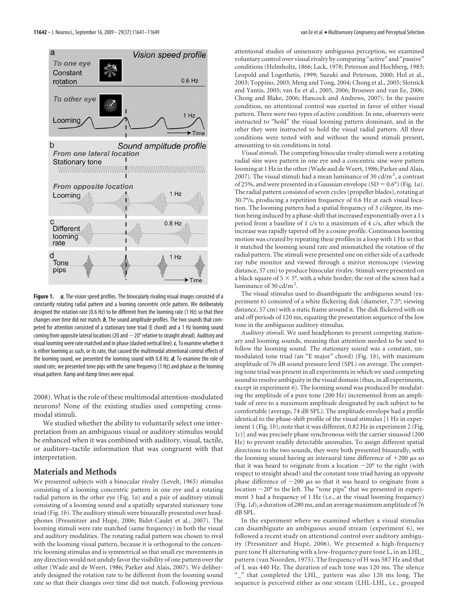

**Figure 1.** *a*, The vision speed profiles. The binocularly rivaling visual images consisted of a constantly rotating radial pattern and a looming concentric circle pattern. We deliberately designed the rotation rate (0.6 Hz) to be different from the looming rate (1 Hz) so that their changes over time did not match. *b*, The sound amplitude profiles. The two sounds that competed for attention consisted of a stationary tone triad (E chord) and a 1 Hz looming sound coming from opposite lateral locations (20 and  $-20^{\circ}$  relative to straight ahead). Auditory and visual looming were rate matched and in phase (dashed vertical line).*c*, To examine whether it is either looming as such, or its rate, that caused the multimodal attentional control effects of the looming sound, we presented the looming sound with 0.8 Hz. *d*, To examine the role of sound rate, we presented tone pips with the same frequency (1 Hz) and phase as the looming visual pattern. Ramp and damp times were equal.

2008). What is the role of these multimodal attention-modulated neurons? None of the existing studies used competing crossmodal stimuli.

We studied whether the ability to voluntarily select one interpretation from an ambiguous visual or auditory stimulus would be enhanced when it was combined with auditory, visual, tactile, or auditory–tactile information that was congruent with that interpretation.

## **Materials and Methods**

We presented subjects with a binocular rivalry (Levelt, 1965) stimulus consisting of a looming concentric pattern in one eye and a rotating radial pattern in the other eye (Fig. 1*a*) and a pair of auditory stimuli consisting of a looming sound and a spatially separated stationary tone triad (Fig. 1*b*). The auditory stimuli were binaurally presented over headphones (Pressnitzer and Hupé, 2006; Bidet-Caulet et al., 2007). The looming stimuli were rate matched (same frequency) in both the visual and auditory modalities. The rotating radial pattern was chosen to rival with the looming visual pattern, because it is orthogonal to the concentric looming stimulus and is symmetrical so that small eye movements in any direction would not unduly favor the visibility of one pattern over the other (Wade and de Weert, 1986; Parker and Alais, 2007). We deliberately designed the rotation rate to be different from the looming sound rate so that their changes over time did not match. Following previous

attentional studies of unisensory ambiguous perception, we examined voluntary control over visual rivalry by comparing "active" and "passive" conditions (Helmholtz, 1866; Lack, 1978; Peterson and Hochberg, 1983; Leopold and Logothetis, 1999; Suzuki and Peterson, 2000; Hol et al., 2003; Toppino, 2003; Meng and Tong, 2004; Chong et al., 2005; Slotnick and Yantis, 2005; van Ee et al., 2005, 2006; Brouwer and van Ee, 2006; Chong and Blake, 2006; Hancock and Andrews, 2007). In the passive condition, no attentional control was exerted in favor of either visual pattern. There were two types of active condition. In one, observers were instructed to "hold" the visual looming pattern dominant, and in the other they were instructed to hold the visual radial pattern. All three conditions were tested with and without the sound stimuli present, amounting to six conditions in total.

*Visual stimuli.* The competing binocular rivalry stimuli were a rotating radial sine wave pattern in one eye and a concentric sine wave pattern looming at 1 Hz in the other (Wade and de Weert, 1986; Parker and Alais, 2007). The visual stimuli had a mean luminance of 30 cd/m<sup>2</sup>, a contrast of 25%, and were presented in a Gaussian envelope  $(SD = 0.6^{\circ})$  (Fig. 1*a*). The radial pattern consisted of seven cycles (propeller blades), rotating at 30.7°/s, producing a repetition frequency of 0.6 Hz at each visual location. The looming pattern had a spatial frequency of 3 c/degree, its motion being induced by a phase-shift that increased exponentially over a 1 s period from a baseline of 1 c/s to a maximum of 4 c/s, after which the increase was rapidly tapered off by a cosine profile. Continuous looming motion was created by repeating these profiles in a loop with 1 Hz so that it matched the looming sound rate and mismatched the rotation of the radial pattern. The stimuli were presented one on either side of a cathode ray tube monitor and viewed through a mirror stereoscope (viewing distance, 57 cm) to produce binocular rivalry. Stimuli were presented on a black square of  $5 \times 5^{\circ}$ , with a white border; the rest of the screen had a luminance of 30 cd/m<sup>2</sup>.

The visual stimulus used to disambiguate the ambiguous sound (experiment 6) consisted of a white flickering disk (diameter, 7.5°; viewing distance, 57 cm) with a static frame around it. The disk flickered with on and off periods of 120 ms, equating the presentation sequence of the low tone in the ambiguous auditory stimulus.

*Auditory stimuli.* We used headphones to present competing stationary and looming sounds, meaning that attention needed to be used to follow the looming sound. The stationary sound was a constant, unmodulated tone triad (an "E major" chord) (Fig. 1*b*), with maximum amplitude of 76 dB sound pressure level (SPL) on average. The competing tone triad was present in all experiments in which we used competing sound to resolve ambiguity in the visual domain (thus, in all experiments, except in experiment 6). The looming sound was produced by modulating the amplitude of a pure tone (200 Hz) incremented from an amplitude of zero to a maximum amplitude designated by each subject to be comfortable (average, 74 dB SPL). The amplitude envelope had a profile identical to the phase-shift profile of the visual stimulus [1 Hz in experiment 1 (Fig. 1b); note that it was different, 0.82 Hz in experiment 2 (Fig. 1*c*)] and was precisely phase synchronous with the carrier sinusoid (200 Hz) to prevent readily detectable anomalies. To assign different spatial directions to the two sounds, they were both presented binaurally, with the looming sound having an interaural time difference of  $+200 \mu s$  so that it was heard to originate from a location  $\sim$ 20° to the right (with respect to straight ahead) and the constant tone triad having an opposite phase difference of  $-200 \mu s$  so that it was heard to originate from a location  $\sim$  20 $\degree$  to the left. The "tone pips" that we presented in experiment 3 had a frequency of 1 Hz (i.e., at the visual looming frequency) (Fig. 1*d*), a duration of 280 ms, and an average maximum amplitude of 76 dB SPL.

In the experiment where we examined whether a visual stimulus can disambiguate an ambiguous sound stream (experiment 6), we followed a recent study on attentional control over auditory ambiguity (Pressnitzer and Hupé, 2006). We presented a high-frequency pure tone H alternating with a low-frequency pure tone L, in an LHL\_ pattern (van Noorden, 1975). The frequency of H was 587 Hz and that of L was 440 Hz. The duration of each tone was 120 ms. The silence "\_" that completed the LHL\_ pattern was also 120 ms long. The sequence is perceived either as one stream (LHL-LHL, i.e., grouped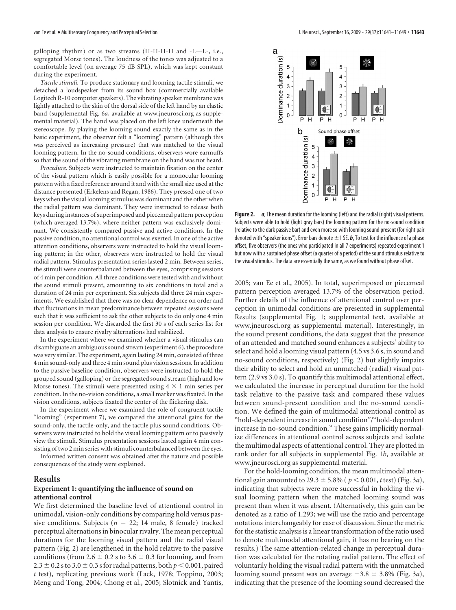galloping rhythm) or as two streams (H-H-H-H and -L—L-, i.e., segregated Morse tones). The loudness of the tones was adjusted to a comfortable level (on average 75 dB SPL), which was kept constant during the experiment.

*Tactile stimuli.* To produce stationary and looming tactile stimuli, we detached a loudspeaker from its sound box (commercially available Logitech R-10 computer speakers). The vibrating speaker membrane was lightly attached to the skin of the dorsal side of the left hand by an elastic band (supplemental Fig. 6*a*, available at www.jneurosci.org as supplemental material). The hand was placed on the left knee underneath the stereoscope. By playing the looming sound exactly the same as in the basic experiment, the observer felt a "looming" pattern (although this was perceived as increasing pressure) that was matched to the visual looming pattern. In the no-sound conditions, observers wore earmuffs so that the sound of the vibrating membrane on the hand was not heard.

*Procedure.* Subjects were instructed to maintain fixation on the center of the visual pattern which is easily possible for a monocular looming pattern with a fixed reference around it and with the small size used at the distance presented (Erkelens and Regan, 1986). They pressed one of two keys when the visual looming stimulus was dominant and the other when the radial pattern was dominant. They were instructed to release both keys during instances of superimposed and piecemeal pattern perception (which averaged 13.7%), where neither pattern was exclusively dominant. We consistently compared passive and active conditions. In the passive condition, no attentional control was exerted. In one of the active attention conditions, observers were instructed to hold the visual looming pattern; in the other, observers were instructed to hold the visual radial pattern. Stimulus presentation series lasted 2 min. Between series, the stimuli were counterbalanced between the eyes, comprising sessions of 4 min per condition. All three conditions were tested with and without the sound stimuli present, amounting to six conditions in total and a duration of 24 min per experiment. Six subjects did three 24 min experiments. We established that there was no clear dependence on order and that fluctuations in mean predominance between repeated sessions were such that it was sufficient to ask the other subjects to do only one 4 min session per condition. We discarded the first 30 s of each series list for data analysis to ensure rivalry alternations had stabilized.

In the experiment where we examined whether a visual stimulus can disambiguate an ambiguous sound stream (experiment 6), the procedure was very similar. The experiment, again lasting 24 min, consisted of three 4 min sound-only and three 4 min sound plus vision sessions. In addition to the passive baseline condition, observers were instructed to hold the grouped sound (galloping) or the segregated sound stream (high and low Morse tones). The stimuli were presented using  $4 \times 1$  min series per condition. In the no-vision conditions, a small marker was fixated. In the vision conditions, subjects fixated the center of the flickering disk.

In the experiment where we examined the role of congruent tactile "looming" (experiment 7), we compared the attentional gains for the sound-only, the tactile-only, and the tactile plus sound conditions. Observers were instructed to hold the visual looming pattern or to passively view the stimuli. Stimulus presentation sessions lasted again 4 min consisting of two 2 min series with stimuli counterbalanced between the eyes.

Informed written consent was obtained after the nature and possible consequences of the study were explained.

#### **Results**

## **Experiment 1: quantifying the influence of sound on attentional control**

We first determined the baseline level of attentional control in unimodal, vision-only conditions by comparing hold versus passive conditions. Subjects ( $n = 22$ ; 14 male, 8 female) tracked perceptual alternations in binocular rivalry. The mean perceptual durations for the looming visual pattern and the radial visual pattern (Fig. 2) are lengthened in the hold relative to the passive conditions (from 2.6  $\pm$  0.2 s to 3.6  $\pm$  0.3 for looming, and from 2.3  $\pm$  0.2 s to 3.0  $\pm$  0.3 s for radial patterns, both  $p < 0.001$ , paired *t* test), replicating previous work (Lack, 1978; Toppino, 2003; Meng and Tong, 2004; Chong et al., 2005; Slotnick and Yantis,



**Figure 2.** *a*, The mean duration for the looming (left) and the radial (right) visual patterns. Subjects were able to hold (light gray bars) the looming pattern for the no-sound condition (relative to the dark passive bar) and even more so with looming sound present (for right pair denoted with "speaker icons"). Error bars denote  $\pm$  1 SE.  $\bm{b}$ , To test for the influence of a phase offset, five observers (the ones who participated in all 7 experiments) repeated experiment 1 but now with a sustained phase offset (a quarter of a period) of the sound stimulus relative to the visual stimulus. The data are essentially the same, as we found without phase offset.

2005; van Ee et al., 2005). In total, superimposed or piecemeal pattern perception averaged 13.7% of the observation period. Further details of the influence of attentional control over perception in unimodal conditions are presented in supplemental Results (supplemental Fig. 1; supplemental text, available at www.jneurosci.org as supplemental material). Interestingly, in the sound present conditions, the data suggest that the presence of an attended and matched sound enhances a subjects' ability to select and hold a looming visual pattern (4.5 vs 3.6 s, in sound and no-sound conditions, respectively) (Fig. 2) but slightly impairs their ability to select and hold an unmatched (radial) visual pattern (2.9 vs 3.0 s). To quantify this multimodal attentional effect, we calculated the increase in perceptual duration for the hold task relative to the passive task and compared these values between sound-present condition and the no-sound condition. We defined the gain of multimodal attentional control as "hold-dependent increase in sound condition"/"hold-dependent increase in no-sound condition." These gains implicitly normalize differences in attentional control across subjects and isolate the multimodal aspects of attentional control. They are plotted in rank order for all subjects in supplemental Fig. 1*b*, available at www.jneurosci.org as supplemental material.

For the hold-looming condition, the mean multimodal attentional gain amounted to 29.3  $\pm$  5.8% ( $p < 0.001$ , *t* test) (Fig. 3*a*), indicating that subjects were more successful in holding the visual looming pattern when the matched looming sound was present than when it was absent. (Alternatively, this gain can be denoted as a ratio of 1.293; we will use the ratio and percentage notations interchangeably for ease of discussion. Since the metric for the statistic analysis is a linear transformation of the ratio used to denote multimodal attentional gain, it has no bearing on the results.) The same attention-related change in perceptual duration was calculated for the rotating radial pattern. The effect of voluntarily holding the visual radial pattern with the unmatched looming sound present was on average  $-3.8 \pm 3.8\%$  (Fig. 3*a*), indicating that the presence of the looming sound decreased the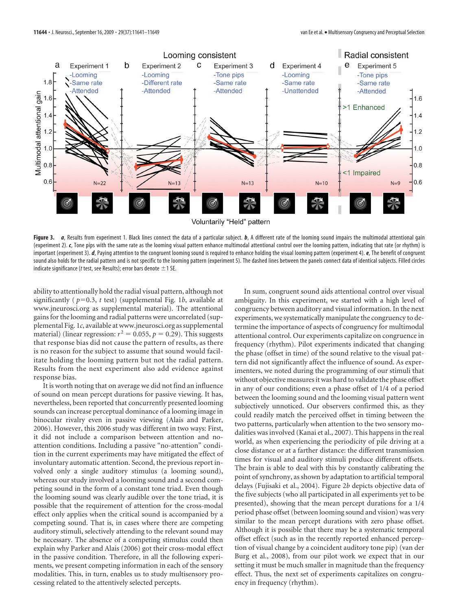

Figure 3. *a*, Results from experiment 1. Black lines connect the data of a particular subject. *b*, A different rate of the looming sound impairs the multimodal attentional gain (experiment 2). *c*, Tone pips with the same rate as the looming visual pattern enhance multimodal attentional control over the looming pattern, indicating that rate (or rhythm) is important (experiment 3). *d*, Paying attention to the congruent looming sound is required to enhance holding the visual looming pattern (experiment 4). *e*, The benefit of congruent sound also holds for the radial pattern and is not specific to the looming pattern (experiment 5). The dashed lines between the panels connect data of identical subjects. Filled circles indicate significance (t test, see Results); error bars denote  $\pm$  1 SE.

ability to attentionally hold the radial visual pattern, although not significantly ( $p=0.3$ ,  $t$  test) (supplemental Fig. 1*b*, available at www.jneurosci.org as supplemental material). The attentional gains for the looming and radial patterns were uncorrelated (supplemental Fig. 1*c*, available at www.jneurosci.org as supplemental material) (linear regression:  $r^2 = 0.055$ ,  $p = 0.29$ ). This suggests that response bias did not cause the pattern of results, as there is no reason for the subject to assume that sound would facilitate holding the looming pattern but not the radial pattern. Results from the next experiment also add evidence against response bias.

It is worth noting that on average we did not find an influence of sound on mean percept durations for passive viewing. It has, nevertheless, been reported that concurrently presented looming sounds can increase perceptual dominance of a looming image in binocular rivalry even in passive viewing (Alais and Parker, 2006). However, this 2006 study was different in two ways: First, it did not include a comparison between attention and noattention conditions. Including a passive "no-attention" condition in the current experiments may have mitigated the effect of involuntary automatic attention. Second, the previous report involved only a single auditory stimulus (a looming sound), whereas our study involved a looming sound and a second competing sound in the form of a constant tone triad. Even though the looming sound was clearly audible over the tone triad, it is possible that the requirement of attention for the cross-modal effect only applies when the critical sound is accompanied by a competing sound. That is, in cases where there are competing auditory stimuli, selectively attending to the relevant sound may be necessary. The absence of a competing stimulus could then explain why Parker and Alais (2006) got their cross-modal effect in the passive condition. Therefore, in all the following experiments, we present competing information in each of the sensory modalities. This, in turn, enables us to study multisensory processing related to the attentively selected percepts.

In sum, congruent sound aids attentional control over visual ambiguity. In this experiment, we started with a high level of congruency between auditory and visual information. In the next experiments, we systematically manipulate the congruency to determine the importance of aspects of congruency for multimodal attentional control. Our experiments capitalize on congruence in frequency (rhythm). Pilot experiments indicated that changing the phase (offset in time) of the sound relative to the visual pattern did not significantly affect the influence of sound. As experimenters, we noted during the programming of our stimuli that without objective measures it was hard to validate the phase offset in any of our conditions; even a phase offset of 1/4 of a period between the looming sound and the looming visual pattern went subjectively unnoticed. Our observers confirmed this, as they could readily match the perceived offset in timing between the two patterns, particularly when attention to the two sensory modalities was involved (Kanai et al., 2007). This happens in the real world, as when experiencing the periodicity of pile driving at a close distance or at a farther distance: the different transmission times for visual and auditory stimuli produce different offsets. The brain is able to deal with this by constantly calibrating the point of synchrony, as shown by adaptation to artificial temporal delays (Fujisaki et al., 2004). Figure 2*b* depicts objective data of the five subjects (who all participated in all experiments yet to be presented), showing that the mean percept durations for a 1/4 period phase offset (between looming sound and vision) was very similar to the mean percept durations with zero phase offset. Although it is possible that there may be a systematic temporal offset effect (such as in the recently reported enhanced perception of visual change by a coincident auditory tone pip) (van der Burg et al., 2008), from our pilot work we expect that in our setting it must be much smaller in magnitude than the frequency effect. Thus, the next set of experiments capitalizes on congruency in frequency (rhythm).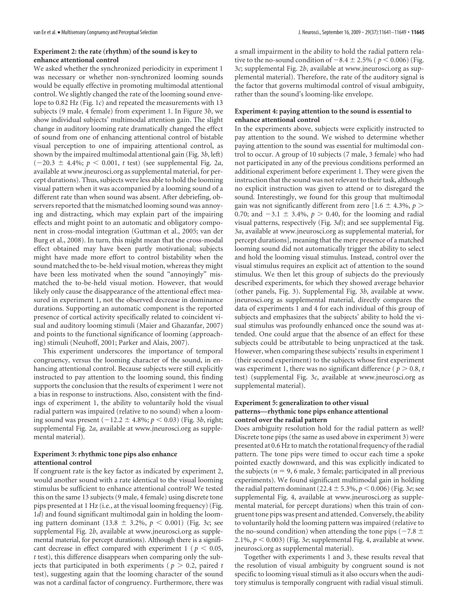## **Experiment 2: the rate (rhythm) of the sound is key to enhance attentional control**

We asked whether the synchronized periodicity in experiment 1 was necessary or whether non-synchronized looming sounds would be equally effective in promoting multimodal attentional control. We slightly changed the rate of the looming sound envelope to 0.82 Hz (Fig. 1*c*) and repeated the measurements with 13 subjects (9 male, 4 female) from experiment 1. In Figure 3*b*, we show individual subjects' multimodal attention gain. The slight change in auditory looming rate dramatically changed the effect of sound from one of enhancing attentional control of bistable visual perception to one of impairing attentional control, as shown by the impaired multimodal attentional gain (Fig. 3*b*, left)  $(-20.3 \pm 4.4\%; p < 0.001, t \text{ test})$  (see supplemental Fig. 2*a*, available at www.jneurosci.org as supplemental material, for percept durations). Thus, subjects were less able to hold the looming visual pattern when it was accompanied by a looming sound of a different rate than when sound was absent. After debriefing, observers reported that the mismatched looming sound was annoying and distracting, which may explain part of the impairing effects and might point to an automatic and obligatory component in cross-modal integration (Guttman et al., 2005; van der Burg et al., 2008). In turn, this might mean that the cross-modal effect obtained may have been partly motivational; subjects might have made more effort to control bistability when the sound matched the to-be-held visual motion, whereas they might have been less motivated when the sound "annoyingly" mismatched the to-be-held visual motion. However, that would likely only cause the disappearance of the attentional effect measured in experiment 1, not the observed decrease in dominance durations. Supporting an automatic component is the reported presence of cortical activity specifically related to coincident visual and auditory looming stimuli (Maier and Ghazanfar, 2007) and points to the functional significance of looming (approaching) stimuli (Neuhoff, 2001; Parker and Alais, 2007).

This experiment underscores the importance of temporal congruency, versus the looming character of the sound, in enhancing attentional control. Because subjects were still explicitly instructed to pay attention to the looming sound, this finding supports the conclusion that the results of experiment 1 were not a bias in response to instructions. Also, consistent with the findings of experiment 1, the ability to voluntarily hold the visual radial pattern was impaired (relative to no sound) when a looming sound was present  $(-12.2 \pm 4.8\%; p < 0.03)$  (Fig. 3*b*, right; supplemental Fig. 2*a*, available at www.jneurosci.org as supplemental material).

# **Experiment 3: rhythmic tone pips also enhance attentional control**

If congruent rate is the key factor as indicated by experiment 2, would another sound with a rate identical to the visual looming stimulus be sufficient to enhance attentional control? We tested this on the same 13 subjects (9 male, 4 female) using discrete tone pips presented at 1 Hz (i.e., at the visual looming frequency) (Fig. 1*d*) and found significant multimodal gain in holding the looming pattern dominant (13.8  $\pm$  3.2%,  $p$  < 0.001) (Fig. 3*c*; see supplemental Fig. 2*b*, available at www.jneurosci.org as supplemental material, for percept durations). Although there is a significant decrease in effect compared with experiment  $1 / p \le 0.05$ , *t* test), this difference disappears when comparing only the subjects that participated in both experiments ( $p > 0.2$ , paired *t* test), suggesting again that the looming character of the sound was not a cardinal factor of congruency. Furthermore, there was

a small impairment in the ability to hold the radial pattern relative to the no-sound condition of  $-8.4 \pm 2.5\%$  ( $p < 0.006$ ) (Fig. 3*c*; supplemental Fig. 2*b*, available at www.jneurosci.org as supplemental material). Therefore, the rate of the auditory signal is the factor that governs multimodal control of visual ambiguity, rather than the sound's looming-like envelope.

#### **Experiment 4: paying attention to the sound is essential to enhance attentional control**

In the experiments above, subjects were explicitly instructed to pay attention to the sound. We wished to determine whether paying attention to the sound was essential for multimodal control to occur. A group of 10 subjects (7 male, 3 female) who had not participated in any of the previous conditions performed an additional experiment before experiment 1. They were given the instruction that the sound was not relevant to their task, although no explicit instruction was given to attend or to disregard the sound. Interestingly, we found for this group that multimodal gain was not significantly different from zero  $[1.6 \pm 4.3\%, p>$ 0.70; and  $-3.1 \pm 3.4\%$ ,  $p > 0.40$ , for the looming and radial visual patterns, respectively (Fig. 3*d*); and see supplemental Fig. 3*a*, available at www.jneurosci.org as supplemental material, for percept durations], meaning that the mere presence of a matched looming sound did not automatically trigger the ability to select and hold the looming visual stimulus. Instead, control over the visual stimulus requires an explicit act of attention to the sound stimulus. We then let this group of subjects do the previously described experiments, for which they showed average behavior (other panels, Fig. 3). Supplemental Fig. 3*b*, available at www. jneurosci.org as supplemental material, directly compares the data of experiments 1 and 4 for each individual of this group of subjects and emphasizes that the subjects' ability to hold the visual stimulus was profoundly enhanced once the sound was attended. One could argue that the absence of an effect for these subjects could be attributable to being unpracticed at the task. However, when comparing these subjects' results in experiment 1 (their second experiment) to the subjects whose first experiment was experiment 1, there was no significant difference ( $p > 0.8$ , *t* test) (supplemental Fig. 3*c*, available at www.jneurosci.org as supplemental material).

## **Experiment 5: generalization to other visual patterns—rhythmic tone pips enhance attentional control over the radial pattern**

Does ambiguity resolution hold for the radial pattern as well? Discrete tone pips (the same as used above in experiment 3) were presented at 0.6 Hz to match the rotational frequency of the radial pattern. The tone pips were timed to occur each time a spoke pointed exactly downward, and this was explicitly indicated to the subjects ( $n = 9$ , 6 male, 3 female; participated in all previous experiments). We found significant multimodal gain in holding the radial pattern dominant (22.4  $\pm$  5.3%,  $p$  < 0.006) (Fig. 3*e*; see supplemental Fig. 4, available at www.jneurosci.org as supplemental material, for percept durations) when this train of congruent tone pips was present and attended. Conversely, the ability to voluntarily hold the looming pattern was impaired (relative to the no-sound condition) when attending the tone pips ( $-7.8 \pm$ 2.1%,  $p < 0.003$ ) (Fig. 3e; supplemental Fig. 4, available at www. jneurosci.org as supplemental material).

Together with experiments 1 and 3, these results reveal that the resolution of visual ambiguity by congruent sound is not specific to looming visual stimuli as it also occurs when the auditory stimulus is temporally congruent with radial visual stimuli.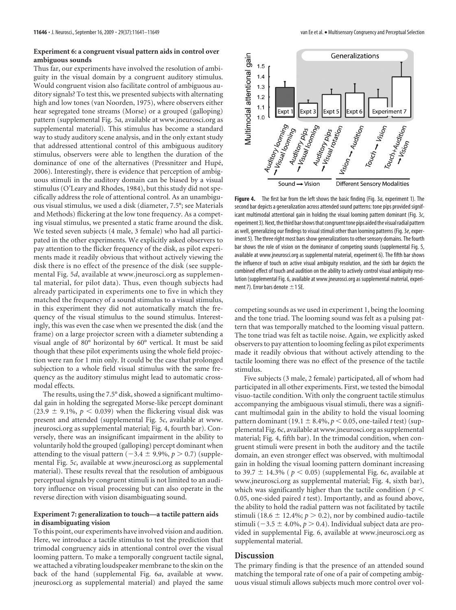# **Experiment 6: a congruent visual pattern aids in control over ambiguous sounds**

Thus far, our experiments have involved the resolution of ambiguity in the visual domain by a congruent auditory stimulus. Would congruent vision also facilitate control of ambiguous auditory signals? To test this, we presented subjects with alternating high and low tones (van Noorden, 1975), where observers either hear segregated tone streams (Morse) or a grouped (galloping) pattern (supplemental Fig. 5*a*, available at www.jneurosci.org as supplemental material). This stimulus has become a standard way to study auditory scene analysis, and in the only extant study that addressed attentional control of this ambiguous auditory stimulus, observers were able to lengthen the duration of the dominance of one of the alternatives (Pressnitzer and Hupé, 2006). Interestingly, there is evidence that perception of ambiguous stimuli in the auditory domain can be biased by a visual stimulus (O'Leary and Rhodes, 1984), but this study did not specifically address the role of attentional control. As an unambiguous visual stimulus, we used a disk (diameter, 7.5°; see Materials and Methods) flickering at the low tone frequency. As a competing visual stimulus, we presented a static frame around the disk. We tested seven subjects (4 male, 3 female) who had all participated in the other experiments. We explicitly asked observers to pay attention to the flicker frequency of the disk, as pilot experiments made it readily obvious that without actively viewing the disk there is no effect of the presence of the disk (see supplemental Fig. 5*d*, available at www.jneurosci.org as supplemental material, for pilot data). Thus, even though subjects had already participated in experiments one to five in which they matched the frequency of a sound stimulus to a visual stimulus, in this experiment they did not automatically match the frequency of the visual stimulus to the sound stimulus. Interestingly, this was even the case when we presented the disk (and the frame) on a large projector screen with a diameter subtending a visual angle of 80° horizontal by 60° vertical. It must be said though that these pilot experiments using the whole field projection were ran for 1 min only. It could be the case that prolonged subjection to a whole field visual stimulus with the same frequency as the auditory stimulus might lead to automatic crossmodal effects.

The results, using the 7.5° disk, showed a significant multimodal gain in holding the segregated Morse-like percept dominant (23.9  $\pm$  9.1%,  $p < 0.039$ ) when the flickering visual disk was present and attended (supplemental Fig. 5*c*, available at www. jneurosci.org as supplemental material; Fig. 4, fourth bar). Conversely, there was an insignificant impairment in the ability to voluntarily hold the grouped (galloping) percept dominant when attending to the visual pattern  $(-3.4 \pm 9.9\%, p > 0.7)$  (supplemental Fig. 5*c*, available at www.jneurosci.org as supplemental material). These results reveal that the resolution of ambiguous perceptual signals by congruent stimuli is not limited to an auditory influence on visual processing but can also operate in the reverse direction with vision disambiguating sound.

## **Experiment 7: generalization to touch—a tactile pattern aids in disambiguating vision**

To this point, our experiments have involved vision and audition. Here, we introduce a tactile stimulus to test the prediction that trimodal congruency aids in attentional control over the visual looming pattern. To make a temporally congruent tactile signal, we attached a vibrating loudspeaker membrane to the skin on the back of the hand (supplemental Fig. 6*a*, available at www. jneurosci.org as supplemental material) and played the same



**Figure 4.** The first bar from the left shows the basic finding (Fig. 3a, experiment 1). The second bar depicts a generalization across attended sound patterns: tone pips provided significant multimodal attentional gain in holding the visual looming pattern dominant (Fig. 3c, experiment 3). Next, the third bar shows that congruent tone pips aided the visual radial pattern as well, generalizing our findings to visual stimuli other than looming patterns (Fig. 3e, experiment 5). The three right most bars show generalizations to other sensory domains. The fourth bar shows the role of vision on the dominance of competing sounds (supplemental Fig. 5, available at www.jneurosci.org as supplemental material, experiment 6). The fifth bar shows the influence of touch on active visual ambiguity resolution, and the sixth bar depicts the combined effect of touch and audition on the ability to actively control visual ambiguity resolution (supplemental Fig. 6, available at www.jneurosci.org as supplemental material, experiment 7). Error bars denote  $\pm$  1 SE.

competing sounds as we used in experiment 1, being the looming and the tone triad. The looming sound was felt as a pulsing pattern that was temporally matched to the looming visual pattern. The tone triad was felt as tactile noise. Again, we explicitly asked observers to pay attention to looming feeling as pilot experiments made it readily obvious that without actively attending to the tactile looming there was no effect of the presence of the tactile stimulus.

Five subjects (3 male, 2 female) participated, all of whom had participated in all other experiments. First, we tested the bimodal visuo-tactile condition. With only the congruent tactile stimulus accompanying the ambiguous visual stimuli, there was a significant multimodal gain in the ability to hold the visual looming pattern dominant (19.1  $\pm$  8.4%,  $p < 0.05$ , one-tailed *t* test) (supplemental Fig. 6*c*, available at www.jneurosci.org as supplemental material; Fig. 4, fifth bar). In the trimodal condition, when congruent stimuli were present in both the auditory and the tactile domain, an even stronger effect was observed, with multimodal gain in holding the visual looming pattern dominant increasing to 39.7  $\pm$  14.3% ( $p < 0.05$ ) (supplemental Fig. 6*c*, available at www.jneurosci.org as supplemental material; Fig. 4, sixth bar), which was significantly higher than the tactile condition ( $p <$ 0.05, one-sided paired *t* test). Importantly, and as found above, the ability to hold the radial pattern was not facilitated by tactile stimuli (18.6  $\pm$  12.4%;  $p > 0.2$ ), nor by combined audio-tactile stimuli ( $-3.5 \pm 4.0\%$ ,  $p > 0.4$ ). Individual subject data are provided in supplemental Fig. 6, available at www.jneurosci.org as supplemental material.

# **Discussion**

The primary finding is that the presence of an attended sound matching the temporal rate of one of a pair of competing ambiguous visual stimuli allows subjects much more control over vol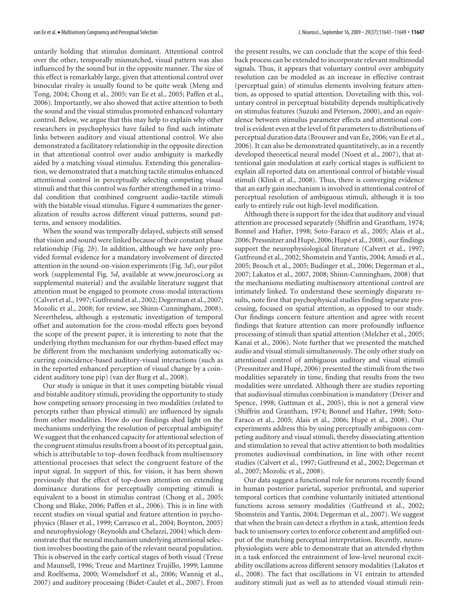untarily holding that stimulus dominant. Attentional control over the other, temporally mismatched, visual pattern was also influenced by the sound but in the opposite manner. The size of this effect is remarkably large, given that attentional control over binocular rivalry is usually found to be quite weak (Meng and Tong, 2004; Chong et al., 2005; van Ee et al., 2005; Paffen et al., 2006). Importantly, we also showed that active attention to both the sound and the visual stimulus promoted enhanced voluntary control. Below, we argue that this may help to explain why other researchers in psychophysics have failed to find such intimate links between auditory and visual attentional control. We also demonstrated a facilitatory relationship in the opposite direction in that attentional control over audio ambiguity is markedly aided by a matching visual stimulus. Extending this generalization, we demonstrated that a matching tactile stimulus enhanced attentional control in perceptually selecting competing visual stimuli and that this control was further strengthened in a trimodal condition that combined congruent audio-tactile stimuli with the bistable visual stimulus. Figure 4 summarizes the generalization of results across different visual patterns, sound patterns, and sensory modalities.

When the sound was temporally delayed, subjects still sensed that vision and sound were linked because of their constant phase relationship (Fig. 2*b*). In addition, although we have only provided formal evidence for a mandatory involvement of directed attention in the sound-on-vision experiments (Fig. 3*d*), our pilot work (supplemental Fig. 5*d*, available at www.jneurosci.org as supplemental material) and the available literature suggest that attention must be engaged to promote cross-modal interactions (Calvert et al., 1997; Gutfreund et al., 2002; Degerman et al., 2007; Mozolic et al., 2008; for review, see Shinn-Cunningham, 2008). Nevertheless, although a systematic investigation of temporal offset and automation for the cross-modal effects goes beyond the scope of the present paper, it is interesting to note that the underlying rhythm mechanism for our rhythm-based effect may be different from the mechanism underlying automatically occurring coincidence-based auditory-visual interactions (such as in the reported enhanced perception of visual change by a coincident auditory tone pip) (van der Burg et al., 2008).

Our study is unique in that it uses competing bistable visual and bistable auditory stimuli, providing the opportunity to study how competing sensory processing in two modalities (related to percepts rather than physical stimuli) are influenced by signals from other modalities. How do our findings shed light on the mechanisms underlying the resolution of perceptual ambiguity? We suggest that the enhanced capacity for attentional selection of the congruent stimulus results from a boost of its perceptual gain, which is attributable to top-down feedback from multisensory attentional processes that select the congruent feature of the input signal. In support of this, for vision, it has been shown previously that the effect of top-down attention on extending dominance durations for perceptually competing stimuli is equivalent to a boost in stimulus contrast (Chong et al., 2005; Chong and Blake, 2006; Paffen et al., 2006). This is in line with recent studies on visual spatial and feature attention in psychophysics (Blaser et al., 1999; Carrasco et al., 2004; Boynton, 2005) and neurophysiology (Reynolds and Chelazzi, 2004) which demonstrate that the neural mechanism underlying attentional selection involves boosting the gain of the relevant neural population. This is observed in the early cortical stages of both visual (Treue and Maunsell, 1996; Treue and Martínez Trujillo, 1999; Lamme and Roelfsema, 2000; Womelsdorf et al., 2006; Wannig et al., 2007) and auditory processing (Bidet-Caulet et al., 2007). From

the present results, we can conclude that the scope of this feedback process can be extended to incorporate relevant multimodal signals. Thus, it appears that voluntary control over ambiguity resolution can be modeled as an increase in effective contrast (perceptual gain) of stimulus elements involving feature attention, as opposed to spatial attention. Dovetailing with this, voluntary control in perceptual bistability depends multiplicatively on stimulus features (Suzuki and Peterson, 2000), and an equivalence between stimulus parameter effects and attentional control is evident even at the level of fit parameters to distributions of perceptual duration data (Brouwer and van Ee, 2006; van Ee et al., 2006). It can also be demonstrated quantitatively, as in a recently developed theoretical neural model (Noest et al., 2007), that attentional gain modulation at early cortical stages is sufficient to explain all reported data on attentional control of bistable visual stimuli (Klink et al., 2008). Thus, there is converging evidence that an early gain mechanism is involved in attentional control of perceptual resolution of ambiguous stimuli, although it is too early to entirely rule out high-level modification.

Although there is support for the idea that auditory and visual attention are processed separately (Shiffrin and Grantham, 1974; Bonnel and Hafter, 1998; Soto-Faraco et al., 2005; Alais et al., 2006; Pressnitzer and Hupé, 2006; Hupé et al., 2008), our findings support the neurophysiological literature (Calvert et al., 1997; Gutfreund et al., 2002; Shomstein and Yantis, 2004; Amedi et al., 2005; Brosch et al., 2005; Budinger et al., 2006; Degerman et al., 2007; Lakatos et al., 2007, 2008; Shinn-Cunningham, 2008) that the mechanisms mediating multisensory attentional control are intimately linked. To understand these seemingly disparate results, note first that psychophysical studies finding separate processing, focused on spatial attention, as opposed to our study. Our findings concern feature attention and agree with recent findings that feature attention can more profoundly influence processing of stimuli than spatial attention (Melcher et al., 2005; Kanai et al., 2006). Note further that we presented the matched audio and visual stimuli simultaneously. The only other study on attentional control of ambiguous auditory and visual stimuli (Pressnitzer and Hupé, 2006) presented the stimuli from the two modalities separately in time, finding that results from the two modalities were unrelated. Although there are studies reporting that audiovisual stimulus combination is mandatory (Driver and Spence, 1998; Guttman et al., 2005), this is not a general view (Shiffrin and Grantham, 1974; Bonnel and Hafter, 1998; Soto-Faraco et al., 2005; Alais et al., 2006; Hupé et al., 2008). Our experiments address this by using perceptually ambiguous competing auditory and visual stimuli, thereby dissociating attention and stimulation to reveal that active attention to both modalities promotes audiovisual combination, in line with other recent studies (Calvert et al., 1997; Gutfreund et al., 2002; Degerman et al., 2007; Mozolic et al., 2008).

Our data suggest a functional role for neurons recently found in human posterior parietal, superior prefrontal, and superior temporal cortices that combine voluntarily initiated attentional functions across sensory modalities (Gutfreund et al., 2002; Shomstein and Yantis, 2004; Degerman et al., 2007). We suggest that when the brain can detect a rhythm in a task, attention feeds back to unisensory cortex to enforce coherent and amplified output of the matching perceptual interpretation. Recently, neurophysiologists were able to demonstrate that an attended rhythm in a task enforced the entrainment of low-level neuronal excitability oscillations across different sensory modalities (Lakatos et al., 2008). The fact that oscillations in V1 entrain to attended auditory stimuli just as well as to attended visual stimuli rein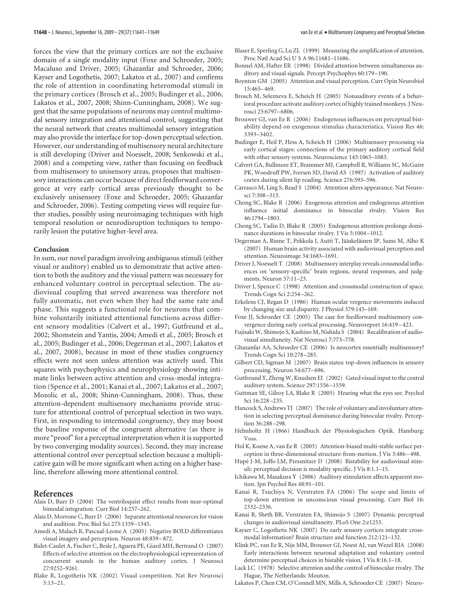forces the view that the primary cortices are not the exclusive domain of a single modality input (Foxe and Schroeder, 2005; Macaluso and Driver, 2005; Ghazanfar and Schroeder, 2006; Kayser and Logothetis, 2007; Lakatos et al., 2007) and confirms the role of attention in coordinating heteromodal stimuli in the primary cortices (Brosch et al., 2005; Budinger et al., 2006; Lakatos et al., 2007, 2008; Shinn-Cunningham, 2008). We suggest that the same populations of neurons may control multimodal sensory integration and attentional control, suggesting that the neural network that creates multimodal sensory integration may also provide the interface for top-down perceptual selection. However, our understanding of multisensory neural architecture is still developing (Driver and Noesselt, 2008; Senkowski et al., 2008) and a competing view, rather than focusing on feedback from multisensory to unisensory areas, proposes that multisensory interactions can occur because of direct feedforward convergence at very early cortical areas previously thought to be exclusively unisensory (Foxe and Schroeder, 2005; Ghazanfar and Schroeder, 2006). Testing competing views will require further studies, possibly using neuroimaging techniques with high temporal resolution or neurodisruption techniques to temporarily lesion the putative higher-level area.

#### **Conclusion**

In sum, our novel paradigm involving ambiguous stimuli (either visual or auditory) enabled us to demonstrate that active attention to both the auditory and the visual pattern was necessary for enhanced voluntary control in perceptual selection. The audiovisual coupling that served awareness was therefore not fully automatic, not even when they had the same rate and phase. This suggests a functional role for neurons that combine voluntarily initiated attentional functions across different sensory modalities (Calvert et al., 1997; Gutfreund et al., 2002; Shomstein and Yantis, 2004; Amedi et al., 2005; Brosch et al., 2005; Budinger et al., 2006; Degerman et al., 2007; Lakatos et al., 2007, 2008), because in most of these studies congruency effects were not seen unless attention was actively used. This squares with psychophysics and neurophysiology showing intimate links between active attention and cross-modal integration (Spence et al., 2001; Kanai et al., 2007; Lakatos et al., 2007; Mozolic et al., 2008; Shinn-Cunningham, 2008). Thus, these attention-dependent multisensory mechanisms provide structure for attentional control of perceptual selection in two ways. First, in responding to intermodal congruency, they may boost the baseline response of the congruent alternative (as there is more "proof" for a perceptual interpretation when it is supported by two converging modality sources). Second, they may increase attentional control over perceptual selection because a multiplicative gain will be more significant when acting on a higher baseline, therefore allowing more attentional control.

#### **References**

- Alais D, Burr D (2004) The ventriloquist effect results from near-optimal bimodal integration. Curr Biol 14:257–262.
- Alais D, Morrone C, Burr D (2006) Separate attentional resources for vision and audition. Proc Biol Sci 273:1339 –1345.
- Amedi A, Malach R, Pascual-Leone A (2005) Negative BOLD differentiates visual imagery and perception. Neuron 48:859 – 872.
- Bidet-Caulet A, Fischer C, Besle J, Aguera PE, Giard MH, Bertrand O (2007) Effects of selective attention on the electrophysiological representation of concurrent sounds in the human auditory cortex. J Neurosci 27:9252–9261.
- Blake R, Logothetis NK (2002) Visual competition. Nat Rev Neurosci 3:13–21.
- Blaser E, Sperling G, Lu ZL (1999) Measuring the amplification of attention. Proc Natl Acad Sci U S A 96:11681–11686.
- Bonnel AM, Hafter ER (1998) Divided attention between simultaneous auditory and visual signals. Percept Psychophys 60:179 –190.
- Boynton GM (2005) Attention and visual perception. Curr Opin Neurobiol 15:465– 469.
- Brosch M, Selezneva E, Scheich H (2005) Nonauditory events of a behavioral procedure activate auditory cortex of highly trained monkeys. J Neurosci 25:6797– 6806.
- Brouwer GJ, van Ee R (2006) Endogenous influences on perceptual bistability depend on exogenous stimulus characteristics. Vision Res 46: 3393–3402.
- Budinger E, Heil P, Hess A, Scheich H (2006) Multisensory processing via early cortical stages: connections of the primary auditory cortical field with other sensory systems. Neuroscience 143:1065–1083.
- Calvert GA, Bullmore ET, Brammer MJ, Campbell R, Williams SC, McGuire PK, Woodruff PW, Iversen SD, David AS (1997) Activation of auditory cortex during silent lip reading. Science 276:593–596.
- Carrasco M, Ling S, Read S (2004) Attention alters appearance. Nat Neurosci 7:308 –313.
- Chong SC, Blake R (2006) Exogenous attention and endogenous attention influence initial dominance in binocular rivalry. Vision Res 46:1794 –1803.
- Chong SC, Tadin D, Blake R (2005) Endogenous attention prolongs dominance durations in binocular rivalry. J Vis 5:1004 –1012.
- Degerman A, Rinne T, Pekkola J, Autti T, Jääskeläinen IP, Sams M, Alho K (2007) Human brain activity associated with audiovisual perception and attention. Neuroimage 34:1683–1691.
- Driver J, Noesselt T (2008) Multisensory interplay reveals crossmodal influences on 'sensory-specific' brain regions, neural responses, and judgments. Neuron 57:11–23.
- Driver J, Spence C (1998) Attention and crossmodal construction of space. Trends Cogn Sci 2:254 –262.
- Erkelens CJ, Regan D (1986) Human ocular vergence movements induced by changing size and disparity. J Physiol 379:145–169.
- Foxe JJ, Schroeder CE (2005) The case for feedforward multisensory convergence during early cortical processing. Neuroreport 16:419 – 423.
- Fujisaki W, Shimojo S, Kashino M, Nishida S (2004) Recalibration of audiovisual simultaneity. Nat Neurosci 7:773–778.
- Ghazanfar AA, Schroeder CE (2006) Is neocortex essentially multisensory? Trends Cogn Sci 10:278 –285.
- Gilbert CD, Sigman M (2007) Brain states: top-down influences in sensory processing. Neuron 54:677– 696.
- Gutfreund Y, Zheng W, Knudsen EI (2002) Gated visual input to the central auditory system. Science 297:1556 –1559.
- Guttman SE, Gilroy LA, Blake R (2005) Hearing what the eyes see. Psychol Sci 16:228 –235.
- Hancock S, Andrews TJ (2007) The role of voluntary and involuntary attention in selecting perceptual dominance during binocular rivalry. Perception 36:288 –298.
- Helmholtz H (1866) Handbuch der Physiologischen Optik. Hamburg: Voss.
- Hol K, Koene A, van Ee R (2003) Attention-biased multi-stable surface perception in three-dimensional structure-from-motion. J Vis 3:486 – 498.
- Hupé J-M, Joffo LM, Pressnitzer D (2008) Bistability for audiovisual stimuli: perceptual decision is modality specific. J Vis 8:1.1–15.
- Ichikawa M, Masakura Y (2006) Auditory stimulation affects apparent motion. Jpn Psychol Res 48:91–101.
- Kanai R, Tsuchiya N, Verstraten FA (2006) The scope and limits of top-down attention in unconscious visual processing. Curr Biol 16: 2332–2336.
- Kanai R, Sheth BR, Verstraten FA, Shimojo S (2007) Dynamic perceptual changes in audiovisual simultaneity. PLoS One 2:e1253.
- Kayser C, Logothetis NK (2007) Do early sensory cortices integrate crossmodal information? Brain structure and function 212:121–132.
- Klink PC, van Ee R, Nijs MM, Brouwer GJ, Noest AJ, van Wezel RJA (2008) Early interactions between neuronal adaptation and voluntary control determine perceptual choices in bistable vision. J Vis 8:16.1–18.
- Lack LC (1978) Selective attention and the control of binocular rivalry. The Hague, The Netherlands: Mouton.
- Lakatos P, Chen CM, O'Connell MN, Mills A, Schroeder CE (2007) Neuro-